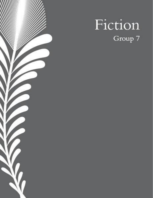

# Fiction Group 7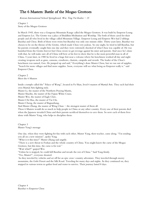## The 6 Masters: Battle of the Mogao Grottoes

Korean International School Springboard, Wai, Ting Yat Kaden  $-15$ 

Chapter 1 Story of the Mogao Grottoes

In March 1945, there was a Gorgeous Mountain Range called the Mogao Grottoes. It was built by Emperor Leung and Empress Lei. The Grotto was a place of Buddhist Meditation and Worship. The both of them cared for their people and all who lived in the village called Mountain Village. Emperor Leung and Empress Wei had 2 siblings Baozhai and Chou. Both of them were twins but Baozhai was only one minute older. Thirty years later, Baozhai was chosen to be on the throne of the Grotto, which made Chou very jealous. So one night, he tried to kill Baozhai, but his parents eventually caught him one day and they were extremely shocked of what Chou was capable of. He was banished from the Grotto forever but Chou swore to get revenge against his sister and parents. And once he's done with that, he will make sure all of China will bow at his feet to show that he is the most powerful man in all of China. 5 years later, in 1980 he lived in a huge fort near a volcano where his henchmen worked all day and night creating weapons such as guns, cannons, crossbows, chariots, catapults and swords. The leader of the Chou's henchmen was named, Gen. He jumped up and said," Everything's done Master Chou, but we ran out of supplies. "Search for more villages and find more supplies. Soon, everyone will see what being an Emperor really is." said Emperor Chou.

Chapter 2 Meet the 6 Masters

Inside a temple called the" Palace of Wang", located in Fo Shan, lived 6 masters of Martial Arts. They each had their own Martial Arts fighting style.

Master Li, the master of the Northern Praying Mantis,

Master Shaolin, the master of the Fujian White Crane,

Master Wei, the master of Eagle Claw,

Master Chi Hua, the master of Tai Chi,

Master Cheng, the master of Baguazhang,

And Master Zhang, the master of Wing Chun  $-$  the strongest master of them all.

These 6 Masters would do so much to help people in China or any other country. Every one of their parents died when the Japanese invaded China and their parents sacrificed themselves to save them. So now each of them lives alone with Master Yang, who helps to discipline them.

Chapter 3 Master Yang's message

One day, when they were fighting for fun with each other, Master Yang, their teacher, came along. "I'm sending you all on a new mission", spoke Yang.

"What is it this time?" Master Zhang said angrily.

"There is a new threat to Foshan and the whole country of China. You might know the curse of the Mogao Grottoes, but this time, the curse is for real."

"Wait what?!" gasped Wei.

"Unless he is stopped, he could kill Baozhai and invade the rest of China." Said Yang firmly.

"Yes, Master!", everyone shouted.

So they traveled by vehicles and set off for an epic cross-country adventure. They traveled through snowy mountains, the Gobi Desert and the Silk Road. Traveling for many days and nights. As they continued on, they stopped in various towns to gather food and water to survive. Their journey lasted 8 days.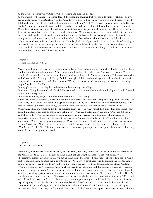At the Grotto, Baozhai was waiting for Chou to arrive and take the throne.

As she walked to the entrance, Baozhai dodged the upcoming shuriken that was about to hit her. "Hmm…You've grown quite strong," Said Baozhai. "Ha-ha! What have we here? I didn't know you were gonna fight me yourself. I'd thought a hero would send his henchmen instead." said Chou. "Fool. Words have consequences." spoke Baozhai firmly. "Oh man... I was really going to kill the soldiers first. Whatever, I'll just kill you, bones and all!!" shouted Chou. Baozhai took her double-bladed sword while Chou took his spear and chain whip out. Their battle began. Baozhai attacked Chou repeatedly but eventually she missed. Chou took his sword and tried to stab her in the back but Baozhai dodged it. Their battle continued for 1 hour until Chou made Baozhai tangled in his chain whip. He swung her around, threw her up in the air, and punched her face and stomach multiple times until her heart was stabbed when Chou landed and used his sword. Chou laughed sinisterly and said "Now I shall be ruler of the Mogao Grottoes!!" Gen and army arrived just in time. "Every soldier is defeated!" yelled Gen. "Baozhai is defeated at last! Now we shall claim her secrets as our own! Spread out! Search whatever precious thing you find and bring it to me!" ordered Chou "Yes Master!" the soldiers yelled.

#### Chapter 5 Trouble in Mountain Village

Meanwhile, the 6 masters just arrived in Mountain Village. They parked their car somewhere hidden near the village, and hid somewhere on the rooftops. "The Grotto is on the other side of the village." whispered Shaolin. "Alright, let's do it!" shouted Li. But Cheng stopped him by pulling his foot back. "What are you doing? This place is crawling with Chou's soldiers!" whispered Cheng. And she was right. Soldiers and the villagers were being bullied and their money and other valuable items had been stolen. "We need to sneak in and pass through the town without being caught." whispered Chi Hua.

So they placed on various disguises and secretly walked through the village.

Somehow, Zhang dressed up kind of weird. He eventually wore a dress which made him look girly. "So that's stealth mode, huh?" whispered Li.

"Let's just be honest, okay? It's not one of my best moves." Said Zhang

But as they continued walking, the soldiers caught them wearing their disguises. "Stop those 6 people!" shouted Gen. Now every one of them took off their disguises and fought side by side. Despite the soldiers' effort at fighting, the 6 masters were too powerful. Eventually, Gen and his army surrendered, ran away and told Chou the news. Meanwhile, Chou was sitting on his throne ordering everyone to do whatever satisfied him. "Emperor Chou! I saw 6 Kung Fu masters! They each had their own fighting style. And also Master, uh..." said Gen. "Out with it. Speak." said Chou softly." "Among the more powerful entrants was a mysterious Kung Fu master who managed to completely kill most of our army. It seems it was Zhang, sir." spoke Gen. "What was that?" said Emperor Chou suspiciously. "Master, we are planning to capture Zhang and the other 5. I will notify you the instant that we know for sure." said Gen. "Whether this is true or not, this information cannot leave this room." said Emperor Chou. "Yes, Master." yelled Gen. Then he ran out of the throne room, getting prepared to capture the 6 masters. The army stormed out carrying guns and swords.

Chapter 6 Captured by Gen's Army

Meanwhile, the 6 masters were on their way to the Grotto, until they noticed the soldiers guarding the entrance to the Mogao Grottoes. "We need a plan to sneak in and not get caught by those soldiers." whispered Wei. "I suggest we create a diversion so that we can all sneak inside the Grotto. But as they're about to take action, Gen's soldiers attacked them, and tied them up with ropes." "We got you now! Let's take them inside the Grotto. Emperor Chou will be impressed to see them." said Gen. Now the 6 masters were being taken inside the Mogao Grottoes. "You got a plan or two?" whispered Wei. "Well we need to stay close and look for a miracle. That's all we can do." whispered Zhang. But as the 6 masters we're about to walk into the Grotto, they noticed Baozhai's double-bladed sword was standing upright. As it turns out, this was the spot where Baozhai died. "Keep moving." cackled Gen. At last, the 6 masters walked inside the Grotto only to discover that the Master Chou was waiting for them. "Well, well, well. What do we have here? It feels like these guys have the guts to stop me, huh?" said Chou. Gen and his army began laughing. "Look, just because you murdered Baozhai doesn't mean you have to do this. Everyone in the Mountain Village is suffering from your stubbornness and pride!" shouted Lei. "And I heard that you kidnapped villagers who dared try to defy you!" shouted Cheng "Ha ha! That's right. I kidnapped the villagers who dared to try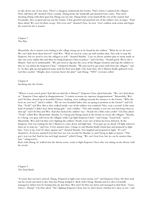to take down one of my army. There's a dungeon underneath the Grotto. That's where I captured the villagers. Now, kill them all!' shouted Chou. Luckily, Zhang broke the handcuffs and attacked Gen's army. They tried shooting Zhang with their guns but Zhang was too fast. Zhang broke every handcuff the rest of the masters had. Eventually, they escaped and ran out the Grotto. Chou growled and punched one of the soldier's face in anger. "Find those idiots! We can't let them escape. Not even one!" shouted Chou. So now Gen's soldiers took action and began the search for the 6 masters.

Chapter 7 The Plan

Meanwhile, the 6 masters were hiding in the village trying not to be found by the soldiers. "What do we do now? We can't hide from them forever!" Said Wei. "Well we need to come up with another plan. Not only to stop the Emperor, but we need to save the villagers as well." shouted Shaolin. "I say we devise another plan to sneak inside or take out every soldier first and then we bring Emperor Chou to justice," said Chi Hua. "Sounds good. We're the 6 Masters. And we're undefeatable. "We just need to dig into the caves of the Mogao Grottoes and trap the soldiers so that we can defeat the Emperor Chou." whispered Shaolin. "We just need to get some tools from the villagers." said Li. So they split up and gathered some tools for their next fight. One hour later, the 6 Masters finally gathered every tool they needed. "Alright, does everyone know the plan?" said Zhang. "YES!" everyone yelled.

Chapter 8 Sneaking into the Grotto

"Where is your search party? And did you find the 6 Masters?" Emperor Chou asked furiously. "We can't find them, sir." Emperor Chou sighed in disappointment. "I cannot overstate my supreme disappointment." Meanwhile, Wei and Chi Hua, dressed up in beautiful Chinese clothing, were walking towards the entrance to the Grotto. "Who the heck are you two?" asked a soldier. "We are two beautiful ladies who are going to perform at the Grotto!" said Chi Hua. "Yeah!" said Wei. But as they walked inside, one of the soldiers was confused "Hey, wait a second. Is this some kind of mistake? I didn't hear about hiring girls." said a Soldier. "The only mistake is you two not knowing when to shut up!" said Chi Hua and Wei. And they kicked the soldiers' face. "Ready for a little extra credit?" Chi Hua asked. "Yeah!" yelled Wei. Meanwhile, Shaolin, Li, Cheng and Zhang snuck in the Grotto to rescue the villagers. "Shaolin, Li, Cheng, you guys will rescue the villagers while I go fight Emperor Chou." said Chang. "Good luck." said Li. Meanwhile, Wei and Chi Hua were fighting the soldiers. Nearly every one of them has been defeated. At the dungeon, Gen was waiting for the 6 Masters to come down and fight him. "You guys go on ahead. I'll fight whoever dares try to stop me." said Gen. A few minutes later, Chang, Li and Shaolin finally found him and prepared to fight him. "Give it up, Gen! It's three against one!" shouted Shaolin. Gen laughed and prepared to fight. "It's on!!" shouted Li. Everyone attacked Gen but Gen was way too fast for Shaolin, Li and Cheng to fight or punch. "This guy's way too fast! And he has such high stamina!" yelled Chang. "We can't beat Gen, but we can be smarter than him." whispered Li.

Back with Zhang, he walked into the throne room, ready to fight Emperor Chou who was sitting on the throne with his sword.

Chapter 9 The Final Battle

"It seems that you have arrived, Zhang. Prepared to fight your worst enemy yet?" said Emperor Chou. He then took out his sword and tried to slice him but Zhang dodged it. Back with Cheng, Shaolin and Lei, they eventually managed to defeat Gen by beating him up. Just then, Wei and Chi Hua ran down and managed to find them. "Guys, where's Zhang?" Chi Hua asked. "He's fighting Emperor Chou, but we don't know whether he's okay or not." said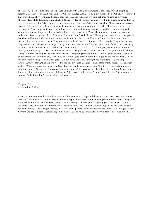Shaolin. "We need to find him and fast." said Li. Back with Zhang and Emperor Chou, they were still fighting against each other. "You can't win, Emperor Chou!" shouted Zhang. "This is my Grotto! MY DESTINY!!" shouted Emperor Chou. They continued fighting until the 5 Masters came and saw him fighting. "There he is!" yelled Shaolin. Meanwhile, Emperor Chou blocked Zhang's volley of punches with his sword until Zhang punched him in the face. Emperor Chou's face turned red and he purposely hit Zhang's face with his whip. Now a red mark was on his face. "Oh, Jesus." said Shaolin. Emperor Chou laughed evilly and continued to fight. "There ain't no way you can beat me." said Emperor Chou. The both of them continued fighting until Zhang grabbed Chou's whip and swung him around. Emperor Chou yelled until he became very dizzy. Zhang then punched him on the face and body until his face began to bleed. "It's over, Emperor Chou." said Zhang. "Zhang, please have mercy. I beg you. It was Gen and his army who were the real enemy. It was their fault." said Emperor Chou. But he didn't know that Gen and his army overheard them. They forced me to do all this." said Emperor Chou weakly. They were so cross they walked out of the Grotto in anger. "Why should we believe you?!" shouted Wei. "You fooled your own army including Gen!" shouted Wang. "Well what are you going to do? You can't kill me yet. Just tell me what to do." "I order you to run away to Chaoshan and never return." "Alright then, if that's what you want, you FOOL!!" shouted Zhang. He tried stabbing Zhang with his sword but Zhang caught it just in time. Then he grabbed Emperor Chou by the throat and threw him out, all the way to the front gate of the Grotto. Chou got up and realized that Gen and his army were waiting for him at the gate. "Oh, my army and Gen. I thought you were dead." sighed Emperor Chou. "Army? I thought he said we were the real enemy." said a soldier. "Yeah, that's what I heard." said another soldier. "Men, we finish this now." said Gen. The army and Gen cornered him. "No l-l-let me explain, please! I didn't mean to… No, no, no!" screamed Emperor Chou. Until every single soldier beat him to death. Cheng saw Emperor Chou get beaten at the top of the gate. "He's dead." said Cheng. "Good" said Chi Hua. "So what do we do now?" asked Shaolin. "I got an idea." said Wei.

Chapter 10 A Mysterious Ending...

A few months later, Gen became the Emperor of the Mountain Village and the Mogao Grottoes. "Best idea you've ever had." said Chi Hua. "Now everyone is finally happy living here with Gen being the Emperor." said Cheng. The 6 Masters then walked to the Grotto where Gen was sitting. "Thanks, guys. It's going great." said Gen. "You're welcome." said Li. But then, 2 mysterious creatures known as the Chinese Oriental Dragon and the Wyvern flew above the village. The 2 dragons roared, which made the people scream and run for their lives. "Oh, my god. It's the Wyvern and the Chinese Oriental Dragon!!!" The 6 Masters yelled, ending the story in fear. To Be Continued...